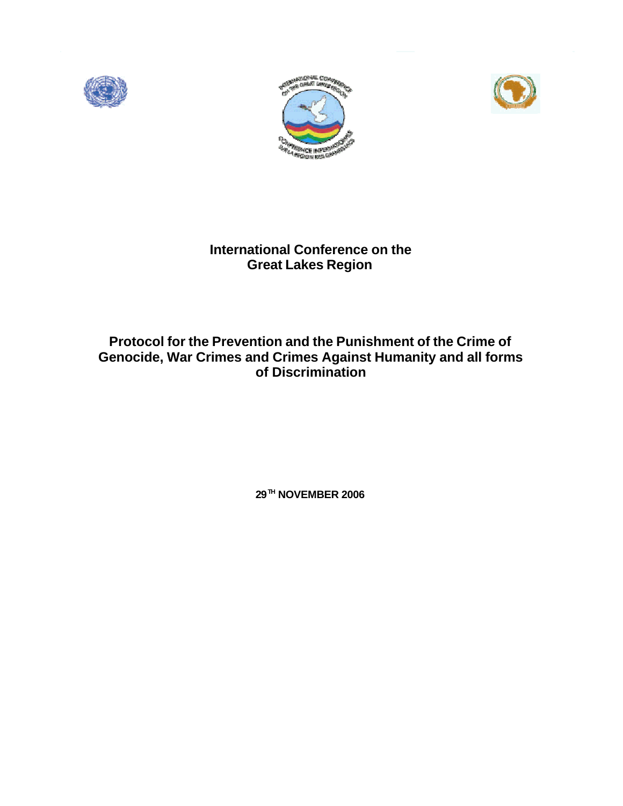





# **International Conference on the Great Lakes Region**

# **Protocol for the Prevention and the Punishment of the Crime of Genocide, War Crimes and Crimes Against Humanity and all forms of Discrimination**

**29TH NOVEMBER 2006**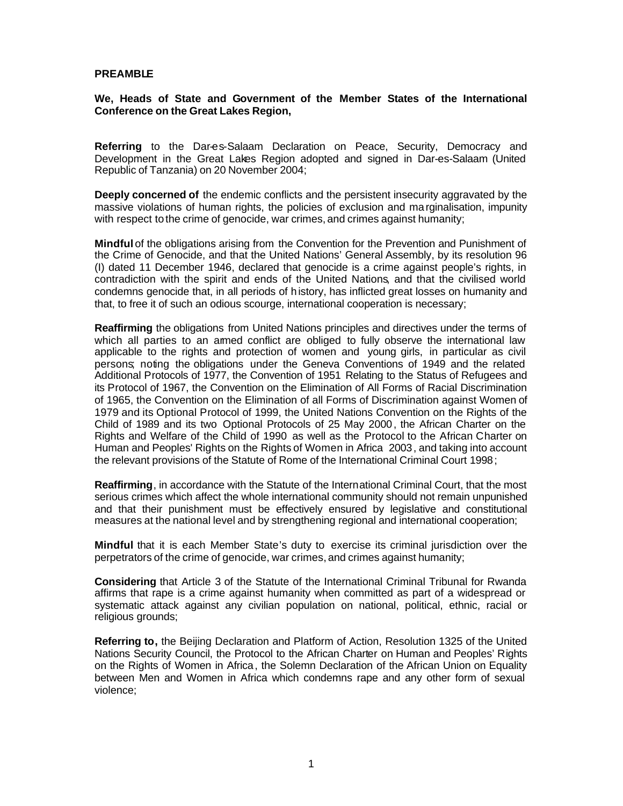#### **PREAMBLE**

### **We, Heads of State and Government of the Member States of the International Conference on the Great Lakes Region,**

**Referring** to the Dares-Salaam Declaration on Peace, Security, Democracy and Development in the Great Lakes Region adopted and signed in Dar-es-Salaam (United Republic of Tanzania) on 20 November 2004;

**Deeply concerned of** the endemic conflicts and the persistent insecurity aggravated by the massive violations of human rights, the policies of exclusion and marginalisation, impunity with respect to the crime of genocide, war crimes, and crimes against humanity;

**Mindful** of the obligations arising from the Convention for the Prevention and Punishment of the Crime of Genocide, and that the United Nations' General Assembly, by its resolution 96 (I) dated 11 December 1946, declared that genocide is a crime against people's rights, in contradiction with the spirit and ends of the United Nations, and that the civilised world condemns genocide that, in all periods of history, has inflicted great losses on humanity and that, to free it of such an odious scourge, international cooperation is necessary;

**Reaffirming** the obligations from United Nations principles and directives under the terms of which all parties to an armed conflict are obliged to fully observe the international law applicable to the rights and protection of women and young girls, in particular as civil persons; noting the obligations under the Geneva Conventions of 1949 and the related Additional Protocols of 1977, the Convention of 1951 Relating to the Status of Refugees and its Protocol of 1967, the Convention on the Elimination of All Forms of Racial Discrimination of 1965, the Convention on the Elimination of all Forms of Discrimination against Women of 1979 and its Optional Protocol of 1999, the United Nations Convention on the Rights of the Child of 1989 and its two Optional Protocols of 25 May 2000, the African Charter on the Rights and Welfare of the Child of 1990 as well as the Protocol to the African Charter on Human and Peoples' Rights on the Rights of Women in Africa 2003, and taking into account the relevant provisions of the Statute of Rome of the International Criminal Court 1998;

**Reaffirming**, in accordance with the Statute of the International Criminal Court, that the most serious crimes which affect the whole international community should not remain unpunished and that their punishment must be effectively ensured by legislative and constitutional measures at the national level and by strengthening regional and international cooperation;

**Mindful** that it is each Member State's duty to exercise its criminal jurisdiction over the perpetrators of the crime of genocide, war crimes, and crimes against humanity;

**Considering** that Article 3 of the Statute of the International Criminal Tribunal for Rwanda affirms that rape is a crime against humanity when committed as part of a widespread or systematic attack against any civilian population on national, political, ethnic, racial or religious grounds;

**Referring to,** the Beijing Declaration and Platform of Action, Resolution 1325 of the United Nations Security Council, the Protocol to the African Charter on Human and Peoples' Rights on the Rights of Women in Africa, the Solemn Declaration of the African Union on Equality between Men and Women in Africa which condemns rape and any other form of sexual violence;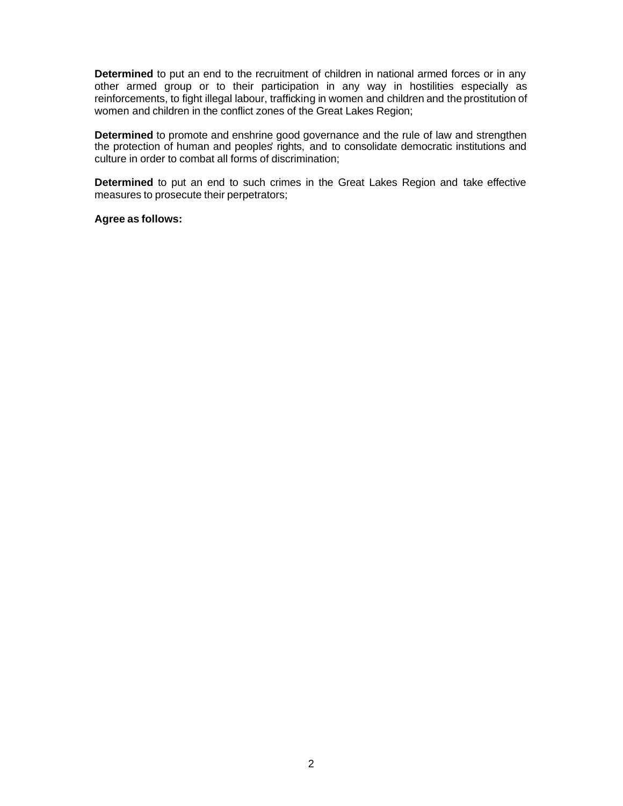**Determined** to put an end to the recruitment of children in national armed forces or in any other armed group or to their participation in any way in hostilities especially as reinforcements, to fight illegal labour, trafficking in women and children and the prostitution of women and children in the conflict zones of the Great Lakes Region;

**Determined** to promote and enshrine good governance and the rule of law and strengthen the protection of human and peoples' rights, and to consolidate democratic institutions and culture in order to combat all forms of discrimination;

**Determined** to put an end to such crimes in the Great Lakes Region and take effective measures to prosecute their perpetrators;

**Agree as follows:**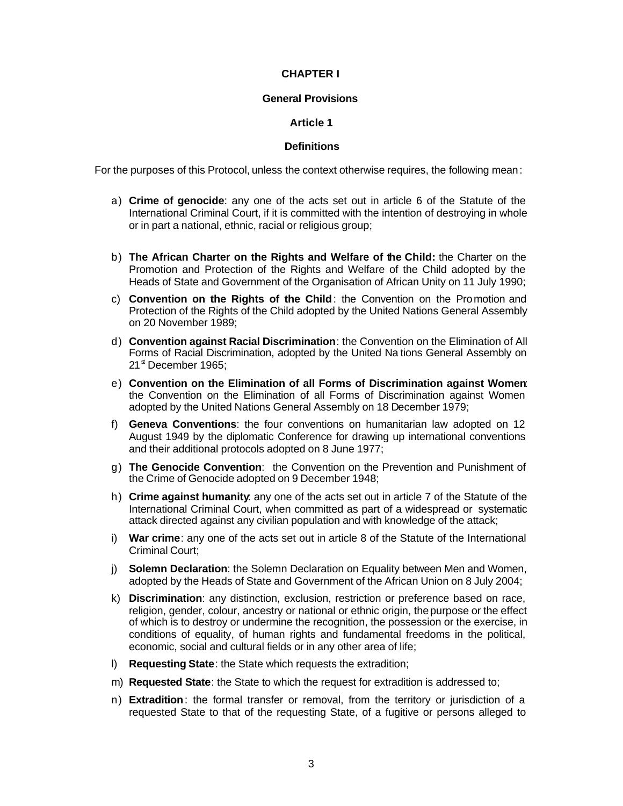### **CHAPTER I**

#### **General Provisions**

### **Article 1**

### **Definitions**

For the purposes of this Protocol, unless the context otherwise requires, the following mean:

- a) **Crime of genocide**: any one of the acts set out in article 6 of the Statute of the International Criminal Court, if it is committed with the intention of destroying in whole or in part a national, ethnic, racial or religious group;
- b) **The African Charter on the Rights and Welfare of the Child:** the Charter on the Promotion and Protection of the Rights and Welfare of the Child adopted by the Heads of State and Government of the Organisation of African Unity on 11 July 1990;
- c) **Convention on the Rights of the Child**: the Convention on the Promotion and Protection of the Rights of the Child adopted by the United Nations General Assembly on 20 November 1989;
- d) **Convention against Racial Discrimination**: the Convention on the Elimination of All Forms of Racial Discrimination, adopted by the United Na tions General Assembly on  $21<sup>st</sup>$  December 1965;
- e) **Convention on the Elimination of all Forms of Discrimination against Women**: the Convention on the Elimination of all Forms of Discrimination against Women adopted by the United Nations General Assembly on 18 December 1979;
- f) **Geneva Conventions**: the four conventions on humanitarian law adopted on 12 August 1949 by the diplomatic Conference for drawing up international conventions and their additional protocols adopted on 8 June 1977;
- g) **The Genocide Convention**: the Convention on the Prevention and Punishment of the Crime of Genocide adopted on 9 December 1948;
- h) **Crime against humanity**: any one of the acts set out in article 7 of the Statute of the International Criminal Court, when committed as part of a widespread or systematic attack directed against any civilian population and with knowledge of the attack;
- i) **War crime**: any one of the acts set out in article 8 of the Statute of the International Criminal Court;
- j) **Solemn Declaration**: the Solemn Declaration on Equality between Men and Women, adopted by the Heads of State and Government of the African Union on 8 July 2004;
- k) **Discrimination**: any distinction, exclusion, restriction or preference based on race, religion, gender, colour, ancestry or national or ethnic origin, the purpose or the effect of which is to destroy or undermine the recognition, the possession or the exercise, in conditions of equality, of human rights and fundamental freedoms in the political, economic, social and cultural fields or in any other area of life;
- l) **Requesting State**: the State which requests the extradition;
- m) **Requested State**: the State to which the request for extradition is addressed to;
- n) **Extradition**: the formal transfer or removal, from the territory or jurisdiction of a requested State to that of the requesting State, of a fugitive or persons alleged to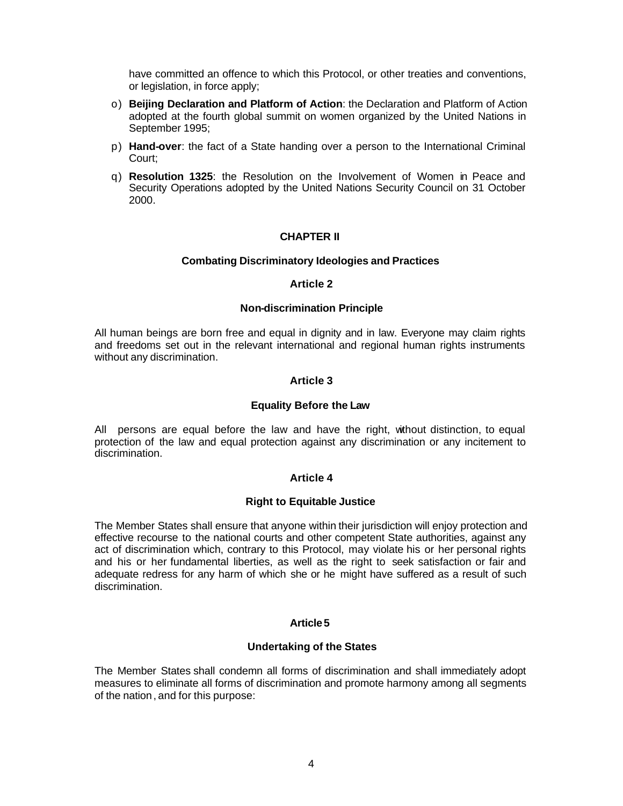have committed an offence to which this Protocol, or other treaties and conventions, or legislation, in force apply;

- o) **Beijing Declaration and Platform of Action**: the Declaration and Platform of Action adopted at the fourth global summit on women organized by the United Nations in September 1995;
- p) **Hand-over**: the fact of a State handing over a person to the International Criminal Court;
- q) **Resolution 1325**: the Resolution on the Involvement of Women in Peace and Security Operations adopted by the United Nations Security Council on 31 October 2000.

# **CHAPTER II**

### **Combating Discriminatory Ideologies and Practices**

#### **Article 2**

#### **Non-discrimination Principle**

All human beings are born free and equal in dignity and in law. Everyone may claim rights and freedoms set out in the relevant international and regional human rights instruments without any discrimination.

### **Article 3**

### **Equality Before the Law**

All persons are equal before the law and have the right, without distinction, to equal protection of the law and equal protection against any discrimination or any incitement to discrimination.

# **Article 4**

# **Right to Equitable Justice**

The Member States shall ensure that anyone within their jurisdiction will enjoy protection and effective recourse to the national courts and other competent State authorities, against any act of discrimination which, contrary to this Protocol, may violate his or her personal rights and his or her fundamental liberties, as well as the right to seek satisfaction or fair and adequate redress for any harm of which she or he might have suffered as a result of such discrimination.

# **Article 5**

#### **Undertaking of the States**

The Member States shall condemn all forms of discrimination and shall immediately adopt measures to eliminate all forms of discrimination and promote harmony among all segments of the nation, and for this purpose: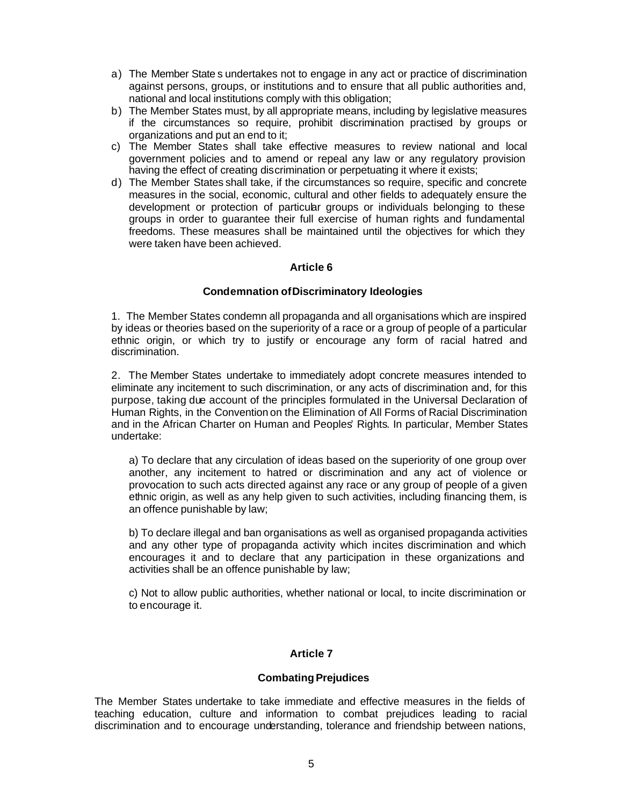- a) The Member State s undertakes not to engage in any act or practice of discrimination against persons, groups, or institutions and to ensure that all public authorities and, national and local institutions comply with this obligation;
- b) The Member States must, by all appropriate means, including by legislative measures if the circumstances so require, prohibit discrimination practised by groups or organizations and put an end to it;
- c) The Member States shall take effective measures to review national and local government policies and to amend or repeal any law or any regulatory provision having the effect of creating discrimination or perpetuating it where it exists;
- d) The Member States shall take, if the circumstances so require, specific and concrete measures in the social, economic, cultural and other fields to adequately ensure the development or protection of particular groups or individuals belonging to these groups in order to guarantee their full exercise of human rights and fundamental freedoms. These measures shall be maintained until the objectives for which they were taken have been achieved.

### **Condemnation of Discriminatory Ideologies**

1. The Member States condemn all propaganda and all organisations which are inspired by ideas or theories based on the superiority of a race or a group of people of a particular ethnic origin, or which try to justify or encourage any form of racial hatred and discrimination.

2. The Member States undertake to immediately adopt concrete measures intended to eliminate any incitement to such discrimination, or any acts of discrimination and, for this purpose, taking due account of the principles formulated in the Universal Declaration of Human Rights, in the Convention on the Elimination of All Forms of Racial Discrimination and in the African Charter on Human and Peoples' Rights. In particular, Member States undertake:

a) To declare that any circulation of ideas based on the superiority of one group over another, any incitement to hatred or discrimination and any act of violence or provocation to such acts directed against any race or any group of people of a given ethnic origin, as well as any help given to such activities, including financing them, is an offence punishable by law;

b) To declare illegal and ban organisations as well as organised propaganda activities and any other type of propaganda activity which incites discrimination and which encourages it and to declare that any participation in these organizations and activities shall be an offence punishable by law;

c) Not to allow public authorities, whether national or local, to incite discrimination or to encourage it.

#### **Article 7**

### **Combating Prejudices**

The Member States undertake to take immediate and effective measures in the fields of teaching education, culture and information to combat prejudices leading to racial discrimination and to encourage understanding, tolerance and friendship between nations,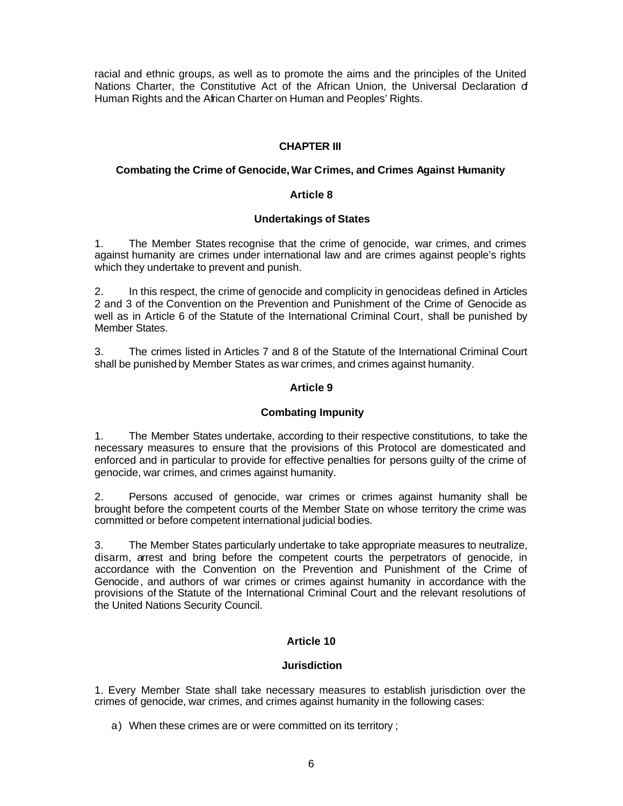racial and ethnic groups, as well as to promote the aims and the principles of the United Nations Charter, the Constitutive Act of the African Union, the Universal Declaration of Human Rights and the African Charter on Human and Peoples' Rights.

# **CHAPTER III**

### **Combating the Crime of Genocide, War Crimes, and Crimes Against Humanity**

### **Article 8**

### **Undertakings of States**

1. The Member States recognise that the crime of genocide, war crimes, and crimes against humanity are crimes under international law and are crimes against people's rights which they undertake to prevent and punish.

2. In this respect, the crime of genocide and complicity in genocideas defined in Articles 2 and 3 of the Convention on the Prevention and Punishment of the Crime of Genocide as well as in Article 6 of the Statute of the International Criminal Court, shall be punished by Member States.

3. The crimes listed in Articles 7 and 8 of the Statute of the International Criminal Court shall be punished by Member States as war crimes, and crimes against humanity.

### **Article 9**

# **Combating Impunity**

1. The Member States undertake, according to their respective constitutions, to take the necessary measures to ensure that the provisions of this Protocol are domesticated and enforced and in particular to provide for effective penalties for persons guilty of the crime of genocide, war crimes, and crimes against humanity.

2. Persons accused of genocide, war crimes or crimes against humanity shall be brought before the competent courts of the Member State on whose territory the crime was committed or before competent international judicial bodies.

3. The Member States particularly undertake to take appropriate measures to neutralize, disarm, arrest and bring before the competent courts the perpetrators of genocide, in accordance with the Convention on the Prevention and Punishment of the Crime of Genocide, and authors of war crimes or crimes against humanity in accordance with the provisions of the Statute of the International Criminal Court and the relevant resolutions of the United Nations Security Council.

# **Article 10**

#### **Jurisdiction**

1. Every Member State shall take necessary measures to establish jurisdiction over the crimes of genocide, war crimes, and crimes against humanity in the following cases:

a) When these crimes are or were committed on its territory ;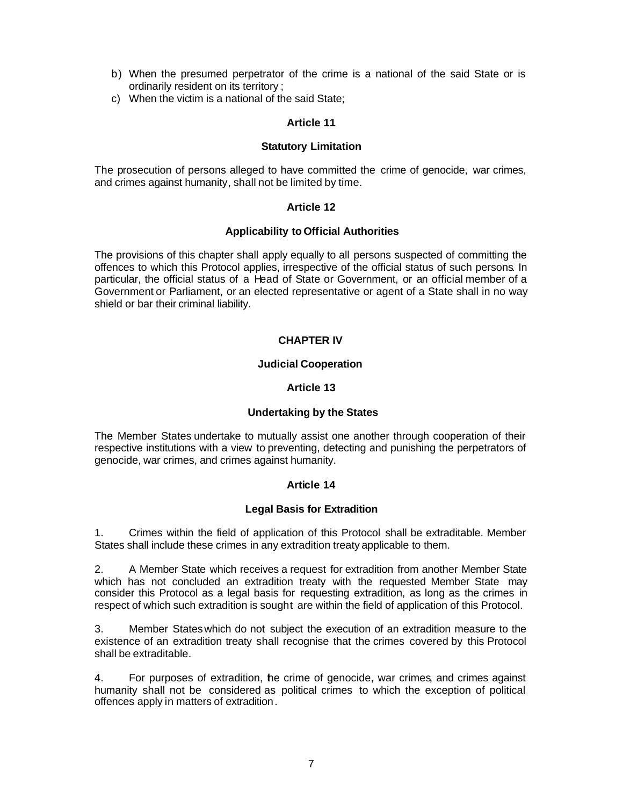- b) When the presumed perpetrator of the crime is a national of the said State or is ordinarily resident on its territory ;
- c) When the victim is a national of the said State;

### **Statutory Limitation**

The prosecution of persons alleged to have committed the crime of genocide, war crimes, and crimes against humanity, shall not be limited by time.

### **Article 12**

### **Applicability to Official Authorities**

The provisions of this chapter shall apply equally to all persons suspected of committing the offences to which this Protocol applies, irrespective of the official status of such persons. In particular, the official status of a Head of State or Government, or an official member of a Government or Parliament, or an elected representative or agent of a State shall in no way shield or bar their criminal liability.

# **CHAPTER IV**

# **Judicial Cooperation**

### **Article 13**

# **Undertaking by the States**

The Member States undertake to mutually assist one another through cooperation of their respective institutions with a view to preventing, detecting and punishing the perpetrators of genocide, war crimes, and crimes against humanity.

#### **Article 14**

#### **Legal Basis for Extradition**

1. Crimes within the field of application of this Protocol shall be extraditable. Member States shall include these crimes in any extradition treaty applicable to them.

2. A Member State which receives a request for extradition from another Member State which has not concluded an extradition treaty with the requested Member State may consider this Protocol as a legal basis for requesting extradition, as long as the crimes in respect of which such extradition is sought are within the field of application of this Protocol.

3. Member States which do not subject the execution of an extradition measure to the existence of an extradition treaty shall recognise that the crimes covered by this Protocol shall be extraditable.

4. For purposes of extradition, the crime of genocide, war crimes, and crimes against humanity shall not be considered as political crimes to which the exception of political offences apply in matters of extradition.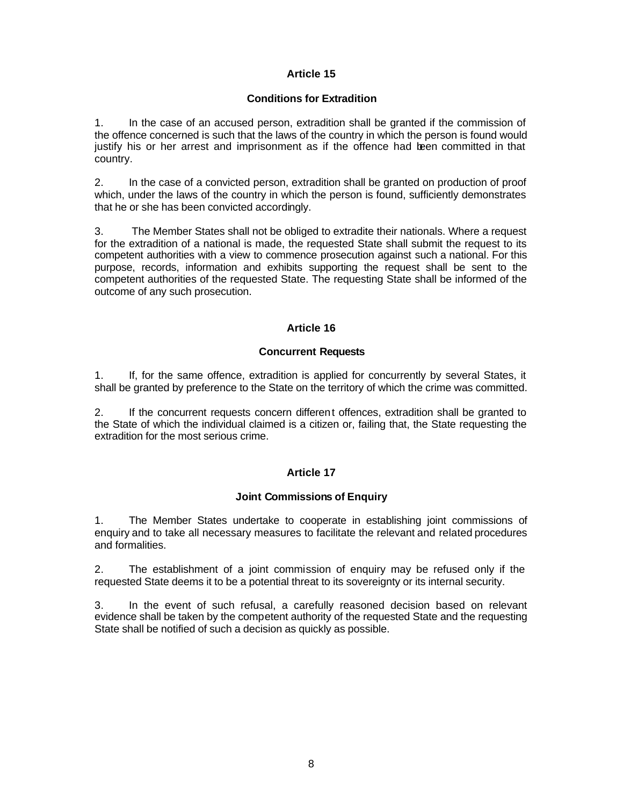# **Conditions for Extradition**

1. In the case of an accused person, extradition shall be granted if the commission of the offence concerned is such that the laws of the country in which the person is found would justify his or her arrest and imprisonment as if the offence had been committed in that country.

2. In the case of a convicted person, extradition shall be granted on production of proof which, under the laws of the country in which the person is found, sufficiently demonstrates that he or she has been convicted accordingly.

3. The Member States shall not be obliged to extradite their nationals. Where a request for the extradition of a national is made, the requested State shall submit the request to its competent authorities with a view to commence prosecution against such a national. For this purpose, records, information and exhibits supporting the request shall be sent to the competent authorities of the requested State. The requesting State shall be informed of the outcome of any such prosecution.

# **Article 16**

# **Concurrent Requests**

1. If, for the same offence, extradition is applied for concurrently by several States, it shall be granted by preference to the State on the territory of which the crime was committed.

2. If the concurrent requests concern different offences, extradition shall be granted to the State of which the individual claimed is a citizen or, failing that, the State requesting the extradition for the most serious crime.

# **Article 17**

# **Joint Commissions of Enquiry**

1. The Member States undertake to cooperate in establishing joint commissions of enquiry and to take all necessary measures to facilitate the relevant and related procedures and formalities.

2. The establishment of a joint commission of enquiry may be refused only if the requested State deems it to be a potential threat to its sovereignty or its internal security.

3. In the event of such refusal, a carefully reasoned decision based on relevant evidence shall be taken by the competent authority of the requested State and the requesting State shall be notified of such a decision as quickly as possible.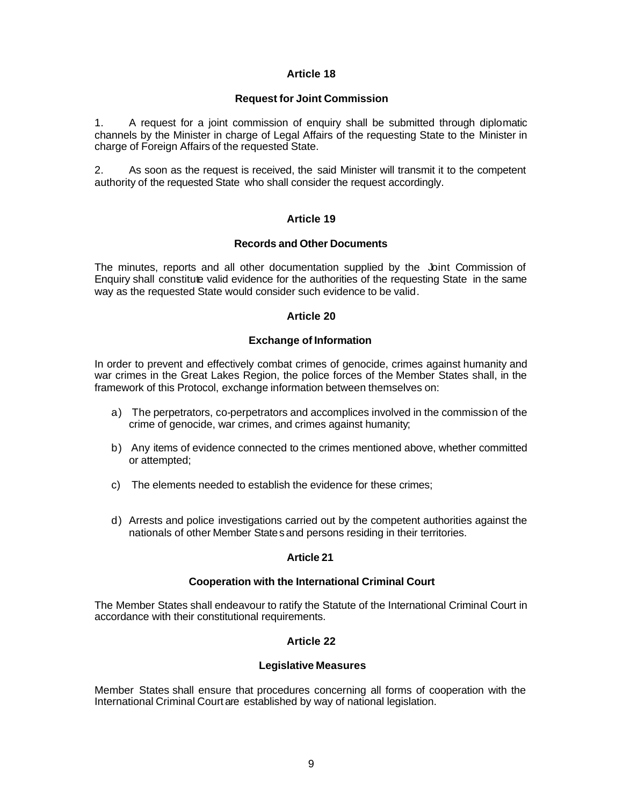# **Request for Joint Commission**

1. A request for a joint commission of enquiry shall be submitted through diplomatic channels by the Minister in charge of Legal Affairs of the requesting State to the Minister in charge of Foreign Affairs of the requested State.

2. As soon as the request is received, the said Minister will transmit it to the competent authority of the requested State who shall consider the request accordingly.

# **Article 19**

#### **Records and Other Documents**

The minutes, reports and all other documentation supplied by the Joint Commission of Enquiry shall constitute valid evidence for the authorities of the requesting State in the same way as the requested State would consider such evidence to be valid.

# **Article 20**

### **Exchange of Information**

In order to prevent and effectively combat crimes of genocide, crimes against humanity and war crimes in the Great Lakes Region, the police forces of the Member States shall, in the framework of this Protocol, exchange information between themselves on:

- a) The perpetrators, co-perpetrators and accomplices involved in the commission of the crime of genocide, war crimes, and crimes against humanity;
- b) Any items of evidence connected to the crimes mentioned above, whether committed or attempted;
- c) The elements needed to establish the evidence for these crimes;
- d) Arrests and police investigations carried out by the competent authorities against the nationals of other Member States and persons residing in their territories.

# **Article 21**

#### **Cooperation with the International Criminal Court**

The Member States shall endeavour to ratify the Statute of the International Criminal Court in accordance with their constitutional requirements.

# **Article 22**

#### **Legislative Measures**

Member States shall ensure that procedures concerning all forms of cooperation with the International Criminal Court are established by way of national legislation.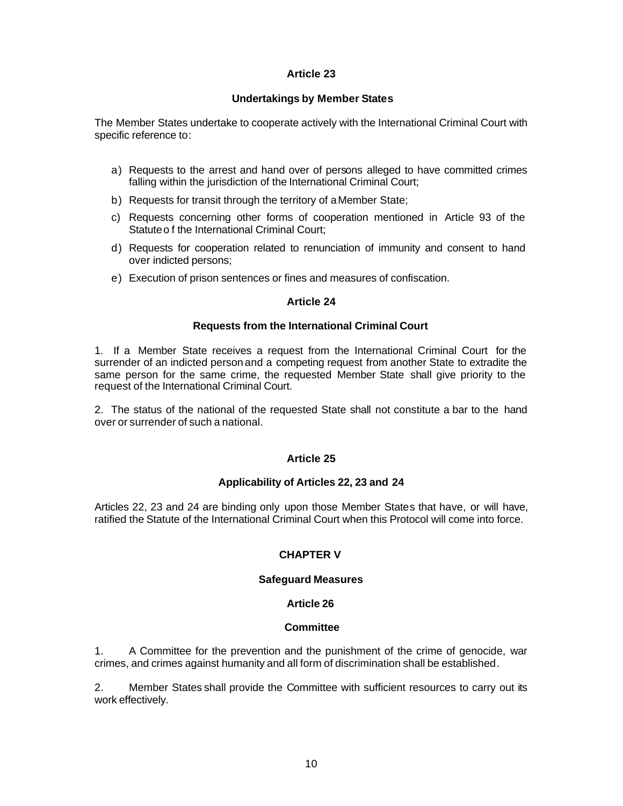# **Undertakings by Member States**

The Member States undertake to cooperate actively with the International Criminal Court with specific reference to:

- a) Requests to the arrest and hand over of persons alleged to have committed crimes falling within the jurisdiction of the International Criminal Court;
- b) Requests for transit through the territory of a Member State;
- c) Requests concerning other forms of cooperation mentioned in Article 93 of the Statute o f the International Criminal Court;
- d) Requests for cooperation related to renunciation of immunity and consent to hand over indicted persons;
- e) Execution of prison sentences or fines and measures of confiscation.

# **Article 24**

### **Requests from the International Criminal Court**

1. If a Member State receives a request from the International Criminal Court for the surrender of an indicted person and a competing request from another State to extradite the same person for the same crime, the requested Member State shall give priority to the request of the International Criminal Court.

2. The status of the national of the requested State shall not constitute a bar to the hand over or surrender of such a national.

# **Article 25**

# **Applicability of Articles 22, 23 and 24**

Articles 22, 23 and 24 are binding only upon those Member States that have, or will have, ratified the Statute of the International Criminal Court when this Protocol will come into force.

# **CHAPTER V**

# **Safeguard Measures**

### **Article 26**

#### **Committee**

1. A Committee for the prevention and the punishment of the crime of genocide, war crimes, and crimes against humanity and all form of discrimination shall be established.

2. Member States shall provide the Committee with sufficient resources to carry out its work effectively.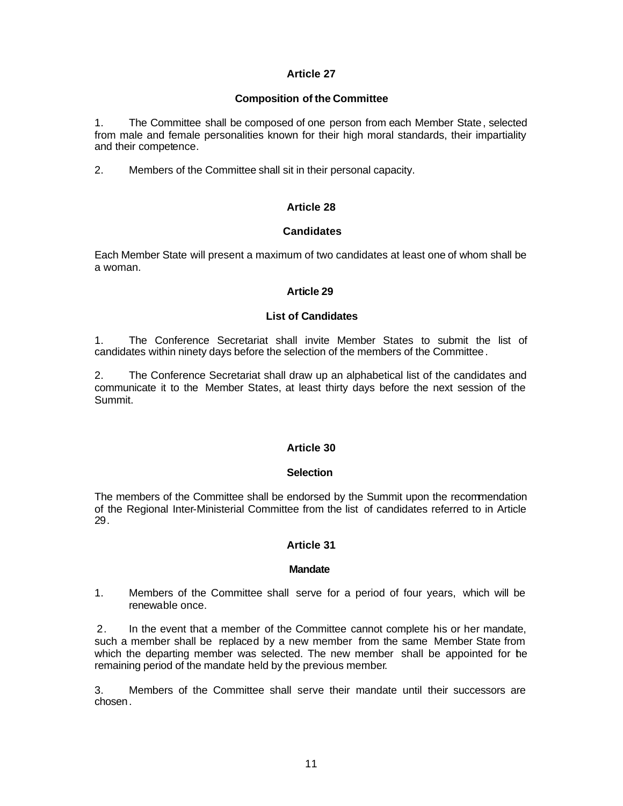# **Composition of the Committee**

1. The Committee shall be composed of one person from each Member State, selected from male and female personalities known for their high moral standards, their impartiality and their competence.

2. Members of the Committee shall sit in their personal capacity.

# **Article 28**

### **Candidates**

Each Member State will present a maximum of two candidates at least one of whom shall be a woman.

### **Article 29**

### **List of Candidates**

1. The Conference Secretariat shall invite Member States to submit the list of candidates within ninety days before the selection of the members of the Committee.

2. The Conference Secretariat shall draw up an alphabetical list of the candidates and communicate it to the Member States, at least thirty days before the next session of the Summit.

# **Article 30**

#### **Selection**

The members of the Committee shall be endorsed by the Summit upon the recommendation of the Regional Inter-Ministerial Committee from the list of candidates referred to in Article 29.

#### **Article 31**

#### **Mandate**

1. Members of the Committee shall serve for a period of four years, which will be renewable once.

 2. In the event that a member of the Committee cannot complete his or her mandate, such a member shall be replaced by a new member from the same Member State from which the departing member was selected. The new member shall be appointed for the remaining period of the mandate held by the previous member.

3. Members of the Committee shall serve their mandate until their successors are chosen.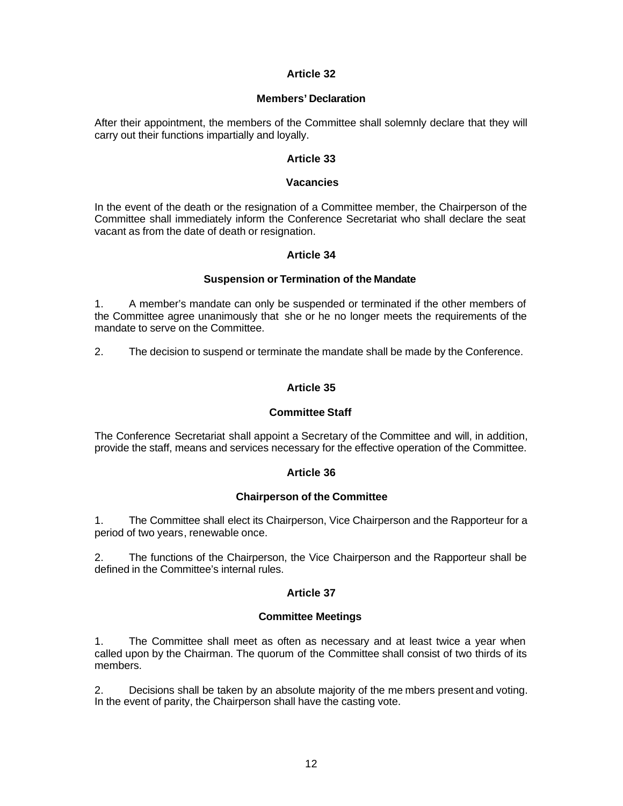### **Members' Declaration**

After their appointment, the members of the Committee shall solemnly declare that they will carry out their functions impartially and loyally.

### **Article 33**

### **Vacancies**

In the event of the death or the resignation of a Committee member, the Chairperson of the Committee shall immediately inform the Conference Secretariat who shall declare the seat vacant as from the date of death or resignation.

# **Article 34**

### **Suspension or Termination of the Mandate**

1. A member's mandate can only be suspended or terminated if the other members of the Committee agree unanimously that she or he no longer meets the requirements of the mandate to serve on the Committee.

2. The decision to suspend or terminate the mandate shall be made by the Conference.

# **Article 35**

# **Committee Staff**

The Conference Secretariat shall appoint a Secretary of the Committee and will, in addition, provide the staff, means and services necessary for the effective operation of the Committee.

# **Article 36**

#### **Chairperson of the Committee**

1. The Committee shall elect its Chairperson, Vice Chairperson and the Rapporteur for a period of two years, renewable once.

2. The functions of the Chairperson, the Vice Chairperson and the Rapporteur shall be defined in the Committee's internal rules.

# **Article 37**

#### **Committee Meetings**

1. The Committee shall meet as often as necessary and at least twice a year when called upon by the Chairman. The quorum of the Committee shall consist of two thirds of its members.

2. Decisions shall be taken by an absolute majority of the me mbers present and voting. In the event of parity, the Chairperson shall have the casting vote.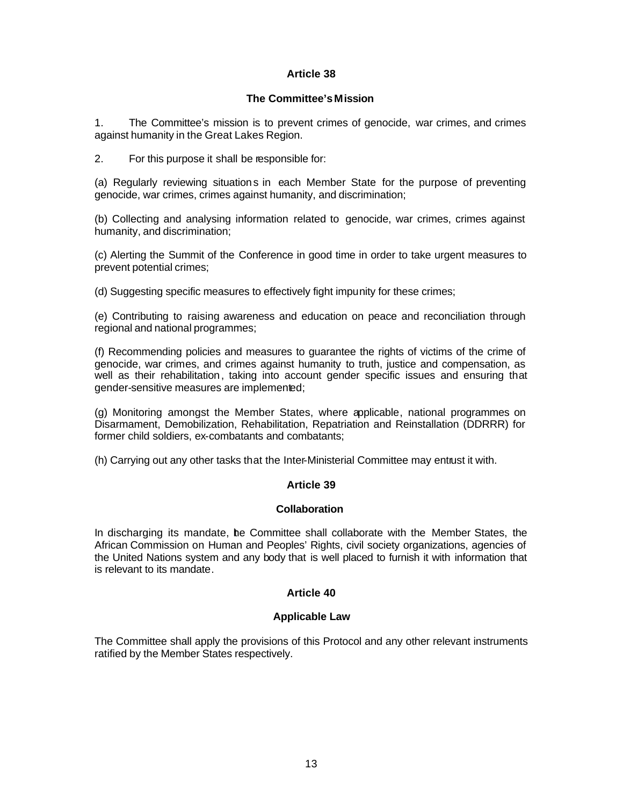# **The Committee's Mission**

1. The Committee's mission is to prevent crimes of genocide, war crimes, and crimes against humanity in the Great Lakes Region.

2. For this purpose it shall be responsible for:

(a) Regularly reviewing situations in each Member State for the purpose of preventing genocide, war crimes, crimes against humanity, and discrimination;

(b) Collecting and analysing information related to genocide, war crimes, crimes against humanity, and discrimination;

(c) Alerting the Summit of the Conference in good time in order to take urgent measures to prevent potential crimes;

(d) Suggesting specific measures to effectively fight impunity for these crimes;

(e) Contributing to raising awareness and education on peace and reconciliation through regional and national programmes;

(f) Recommending policies and measures to guarantee the rights of victims of the crime of genocide, war crimes, and crimes against humanity to truth, justice and compensation, as well as their rehabilitation, taking into account gender specific issues and ensuring that gender-sensitive measures are implemented;

(g) Monitoring amongst the Member States, where applicable, national programmes on Disarmament, Demobilization, Rehabilitation, Repatriation and Reinstallation (DDRRR) for former child soldiers, ex-combatants and combatants;

(h) Carrying out any other tasks that the Inter-Ministerial Committee may entrust it with.

# **Article 39**

# **Collaboration**

In discharging its mandate, the Committee shall collaborate with the Member States, the African Commission on Human and Peoples' Rights, civil society organizations, agencies of the United Nations system and any body that is well placed to furnish it with information that is relevant to its mandate.

# **Article 40**

# **Applicable Law**

The Committee shall apply the provisions of this Protocol and any other relevant instruments ratified by the Member States respectively.